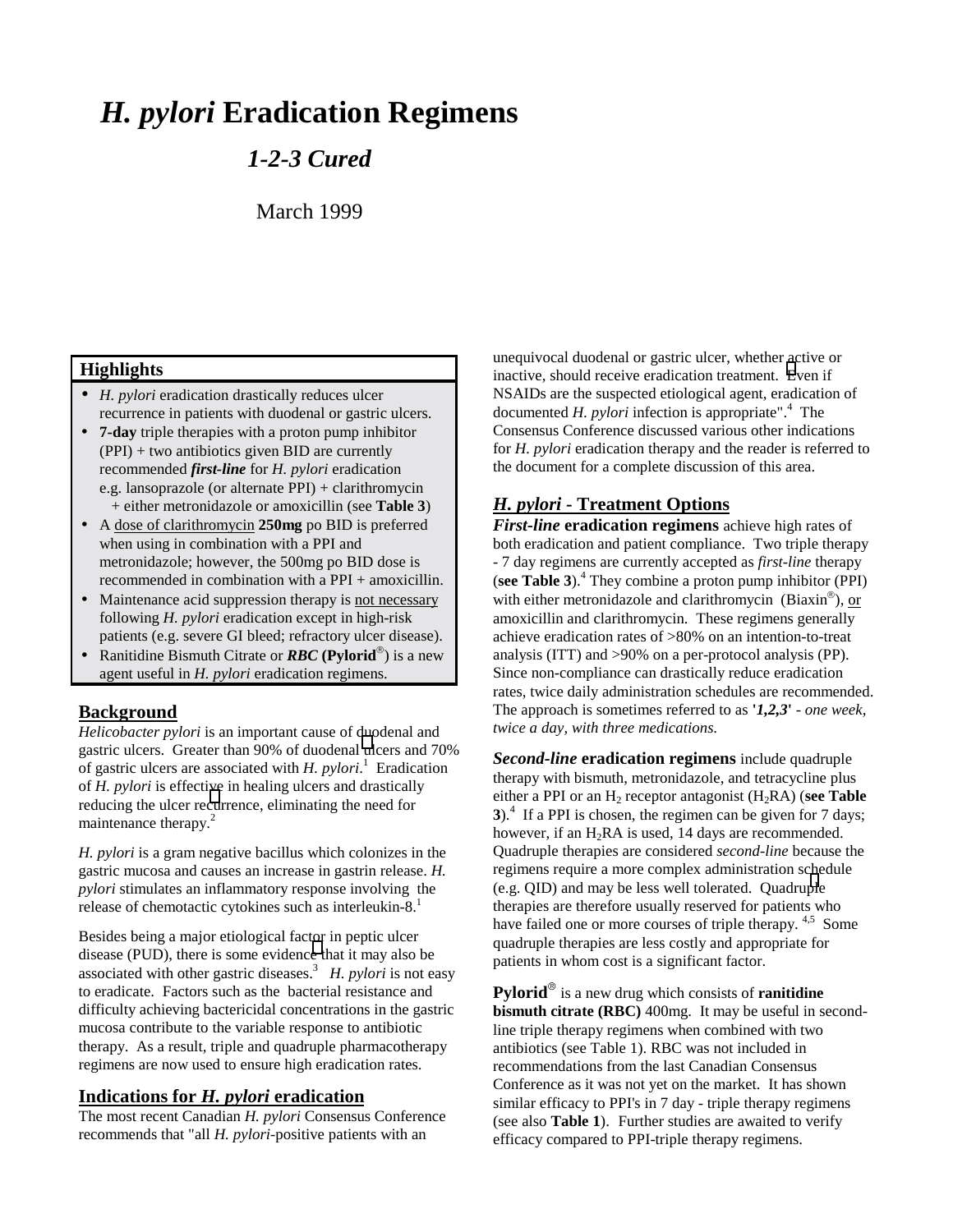# *H. pylori* **Eradication Regimens**

## *1-2-3 Cured*

March 1999

## **Highlights**

- *H. pylori* eradication drastically reduces ulcer recurrence in patients with duodenal or gastric ulcers.
- **7-day** triple therapies with a proton pump inhibitor (PPI) + two antibiotics given BID are currently recommended *first-line* for *H. pylori* eradication e.g. lansoprazole (or alternate PPI) + clarithromycin + either metronidazole or amoxicillin (see **Table 3**)
- A dose of clarithromycin **250mg** po BID is preferred when using in combination with a PPI and metronidazole; however, the 500mg po BID dose is recommended in combination with a PPI + amoxicillin.
- Maintenance acid suppression therapy is not necessary following *H. pylori* eradication except in high-risk patients (e.g. severe GI bleed; refractory ulcer disease).
- **Ranitidine Bismuth Citrate or <b>RBC** (Pylorid<sup>®</sup>) is a new agent useful in *H. pylori* eradication regimens.

### **Background**

*Helicobacter pylori* is an important cause of duodenal and gastric ulcers. Greater than 90% of duodenal [ul](#page-4-0)cers and 70% of gastric ulcers are associated with *H. pylori*. 1 Eradication of *H. pylori* is effective in healing ulcers and drastically reducing the ulcer re[cu](#page-4-0)rrence, eliminating the need for maintenance therapy.<sup>2</sup>

*H. pylori* is a gram negative bacillus which colonizes in the gastric mucosa and causes an increase in gastrin release. *H. pylori* stimulates an inflammatory response involving the release of chemotactic cytokines such as interleukin-8.<sup>1</sup>

Besides being a major etiological factor in peptic ulcer disease (PUD), there is some evidenc[e t](#page-4-0)hat it may also be associated with other gastric diseases.<sup>3</sup> *H. pylori* is not easy to eradicate. Factors such as the bacterial resistance and difficulty achieving bactericidal concentrations in the gastric mucosa contribute to the variable response to antibiotic therapy. As a result, triple and quadruple pharmacotherapy regimens are now used to ensure high eradication rates.

## **Indications for** *H. pylori* **eradication**

The most recent Canadian *H. pylori* Consensus Conference recommends that "all *H. pylori*-positive patients with an

unequivocal duodenal or gastric ulcer, whether active or inactive, should receive eradication treatment. [E](#page-4-0)ven if NSAIDs are the suspected etiological agent, eradication of documented  $H.$  *pylori* infection is appropriate".<sup>4</sup> The Consensus Conference discussed various other indications for *H. pylori* eradication therapy and the reader is referred to the document for a complete discussion of this area.

## *H. pylori* **- Treatment Options**

*First-line* **eradication regimens** achieve high rates of both eradication and patient compliance. Two triple therapy - 7 day regimens are currently accepted as *first-line* therapy (**see Table 3**).<sup>4</sup> They combine a proton pump inhibitor (PPI) with either metronidazole and clarithromycin (Biaxin<sup>®</sup>), or amoxicillin and clarithromycin. These regimens generally achieve eradication rates of >80% on an intention-to-treat analysis (ITT) and >90% on a per-protocol analysis (PP). Since non-compliance can drastically reduce eradication rates, twice daily administration schedules are recommended. The approach is sometimes referred to as **'***1,2,3***'** - *one week, twice a day, with three medications*.

*Second-line* **eradication regimens** include quadruple therapy with bismuth, metronidazole, and tetracycline plus either a PPI or an  $H_2$  receptor antagonist  $(H_2RA)$  (**see Table**) **3**).<sup>4</sup> If a PPI is chosen, the regimen can be given for 7 days; however, if an  $H_2RA$  is used, 14 days are recommended. Quadruple therapies are considered *second-line* because the regimens require a more complex administration schedule (e.g. QID) and may be less well tolerated. Quadru[pl](#page-4-0)e therapies are therefore usually reserved for patients who have failed one or more courses of triple therapy. <sup>4,5</sup> Some quadruple therapies are less costly and appropriate for patients in whom cost is a significant factor.

**Pylorid**<sup>®</sup> is a new drug which consists of **ranitidine bismuth citrate (RBC)** 400mg. It may be useful in secondline triple therapy regimens when combined with two antibiotics (see Table 1). RBC was not included in recommendations from the last Canadian Consensus Conference as it was not yet on the market. It has shown similar efficacy to PPI's in 7 day - triple therapy regimens (see also **Table 1**). Further studies are awaited to verify efficacy compared to PPI-triple therapy regimens.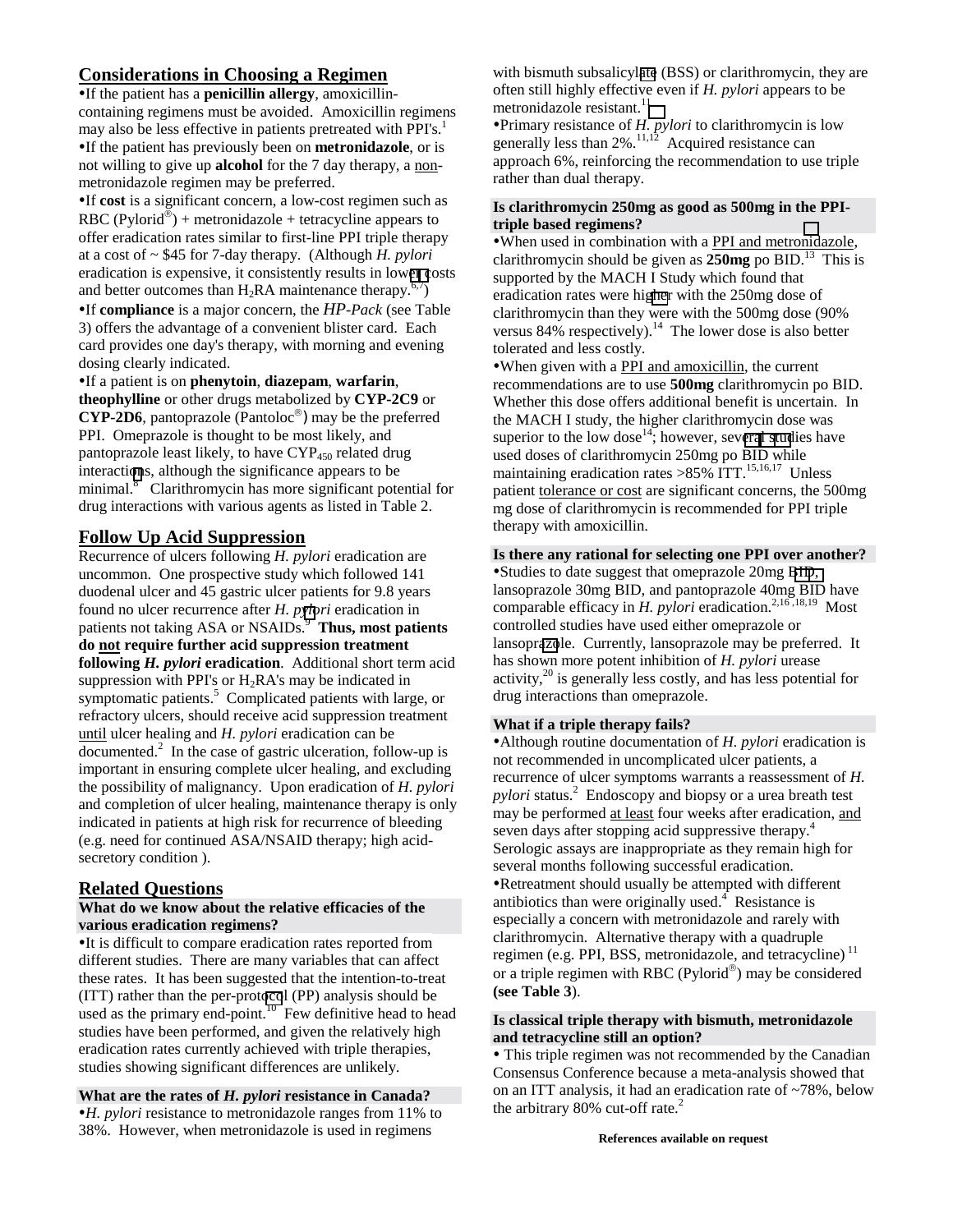## **Considerations in Choosing a Regimen**

If the patient has a **penicillin allergy**, amoxicillincontaining regimens must be avoided. Amoxicillin regimens may also be less effective in patients pretreated with PPI's.<sup>1</sup> If the patient has previously been on **metronidazole**, or is not willing to give up **alcohol** for the 7 day therapy, a nonmetronidazole regimen may be preferred.

If **cost** is a significant concern, a low-cost regimen such as RBC (Pylorid<sup>®</sup>) + metronidazole + tetracycline appears to offer eradication rates similar to first-line PPI triple therapy at a cost of ~ \$45 for 7-day therapy. (Although *H. pylori* eradication is expensive, it consistently results in low[er c](#page-4-0)osts and better outcomes than  $H_2RA$  maintenance therapy.<sup>6,7</sup>)

If **compliance** is a major concern, the *HP*-*Pack* (see Table 3) offers the advantage of a convenient blister card. Each card provides one day's therapy, with morning and evening dosing clearly indicated.

If a patient is on **phenytoin**, **diazepam**, **warfarin**, **theophylline** or other drugs metabolized by **CYP-2C9** or **CYP-2D6**, pantoprazole (Pantoloc®) may be the preferred PPI. Omeprazole is thought to be most likely, and pantoprazole least likely, to have CYP<sub>450</sub> related drug interacti[on](#page-4-0)s, although the significance appears to be minimal.<sup>8</sup> Clarithromycin has more significant potential for drug interactions with various agents as listed in Table 2.

## **Follow Up Acid Suppression**

Recurrence of ulcers following *H. pylori* eradication are uncommon. One prospective study which followed 141 duodenal ulcer and 45 gastric ulcer patients for 9.8 years found no ulcer recurrence after *H. p[ylo](#page-4-0)ri* eradication in patients not taking ASA or NSAIDs.<sup>9</sup> Thus, most patients **do not require further acid suppression treatment following** *H. pylori* **eradication**. Additional short term acid suppression with PPI's or  $H_2RA$ 's may be indicated in symptomatic patients.<sup>5</sup> Complicated patients with large, or refractory ulcers, should receive acid suppression treatment until ulcer healing and *H. pylori* eradication can be  $\overline{\text{documented}}$ <sup>2</sup> In the case of gastric ulceration, follow-up is important in ensuring complete ulcer healing, and excluding the possibility of malignancy. Upon eradication of *H. pylori* and completion of ulcer healing, maintenance therapy is only indicated in patients at high risk for recurrence of bleeding (e.g. need for continued ASA/NSAID therapy; high acidsecretory condition ).

## **Related Questions**

#### **What do we know about the relative efficacies of the various eradication regimens?**

It is difficult to compare eradication rates reported from different studies. There are many variables that can affect these rates. It has been suggested that the intention-to-treat (ITT) rather than the per-prot[oco](#page-4-0)l (PP) analysis should be used as the primary end-point.<sup>10</sup> Few definitive head to head studies have been performed, and given the relatively high eradication rates currently achieved with triple therapies, studies showing significant differences are unlikely.

#### **What are the rates of** *H. pylori* **resistance in Canada?**

*H. pylori* resistance to metronidazole ranges from 11% to 38%. However, when metronidazole is used in regimens

with bismuth subsalicyl[ate](#page-4-0) (BSS) or clarithromycin, they are often still highly effective even if *H. pylori* appears to be metronidazole resistant.<sup>[1](#page-4-0)1</sup>

Primary resistance of *H. pylori* to clarithromycin is low generally less than  $2\%$ .<sup>11,12</sup> Acquired resistance can approach 6%, reinforcing the recommendation to use triple rather than dual therapy.

#### **Is clarithromycin 250mg as good as 500mg in the PPItriple based regimens?**

When used in combination with a PPI and metro[nid](#page-4-0)azole, clarithromycin should be given as  $250mg$  po BID.<sup>13</sup> This is supported by the MACH I Study which found that eradication rates were hi[gher](#page-4-0) with the 250mg dose of clarithromycin than they were with the 500mg dose (90% versus  $84\%$  respectively).<sup>14</sup> The lower dose is also better tolerated and less costly.

When given with a PPI and amoxicillin, the current recommendations are to use **500mg** clarithromycin po BID. Whether this dose offers additional benefit is uncertain. In the MACH I study, the higher clarithromycin dose was superior to the low dose<sup>14</sup>; however, sev[eral stud](#page-4-0)ies have used doses of clarithromycin 250mg po BID while maintaining eradication rates  $>85\%$  ITT.<sup>15,16,17</sup> Unless patient tolerance or cost are significant concerns, the 500mg mg dose of clarithromycin is recommended for PPI triple therapy with amoxicillin.

#### **Is there any rational for selecting one PPI over another?** Studies to date suggest that omeprazole 20mg [BID,](#page-4-0)

lansoprazole 30mg BID, and pantoprazole 40mg BID have comparable efficacy in *H. pylori* eradication.<sup>2,16,18,19</sup> Most controlled studies have used either omeprazole or lansopr[azo](#page-4-0)le. Currently, lansoprazole may be preferred. It has shown more potent inhibition of *H. pylori* urease activity, $^{20}$  is generally less costly, and has less potential for drug interactions than omeprazole.

#### **What if a triple therapy fails?**

Although routine documentation of *H. pylori* eradication is not recommended in uncomplicated ulcer patients, a recurrence of ulcer symptoms warrants a reassessment of *H. pylori* status.<sup>2</sup> Endoscopy and biopsy or a urea breath test may be performed at least four weeks after eradication, and seven days after stopping acid suppressive therapy.<sup>4</sup> Serologic assays are inappropriate as they remain high for several months following successful eradication. Retreatment should usually be attempted with different antibiotics than were originally used. $\textsuperscript{4}$  Resistance is especially a concern with metronidazole and rarely with clarithromycin. Alternative therapy with a quadruple regimen (e.g. PPI, BSS, metronidazole, and tetracycline)<sup>11</sup> or a triple regimen with RBC (Pylorid<sup>®</sup>) may be considered **(see Table 3**).

#### **Is classical triple therapy with bismuth, metronidazole and tetracycline still an option?**

• This triple regimen was not recommended by the Canadian Consensus Conference because a meta-analysis showed that on an ITT analysis, it had an eradication rate of ~78%, below the arbitrary 80% cut-off rate.<sup>2</sup>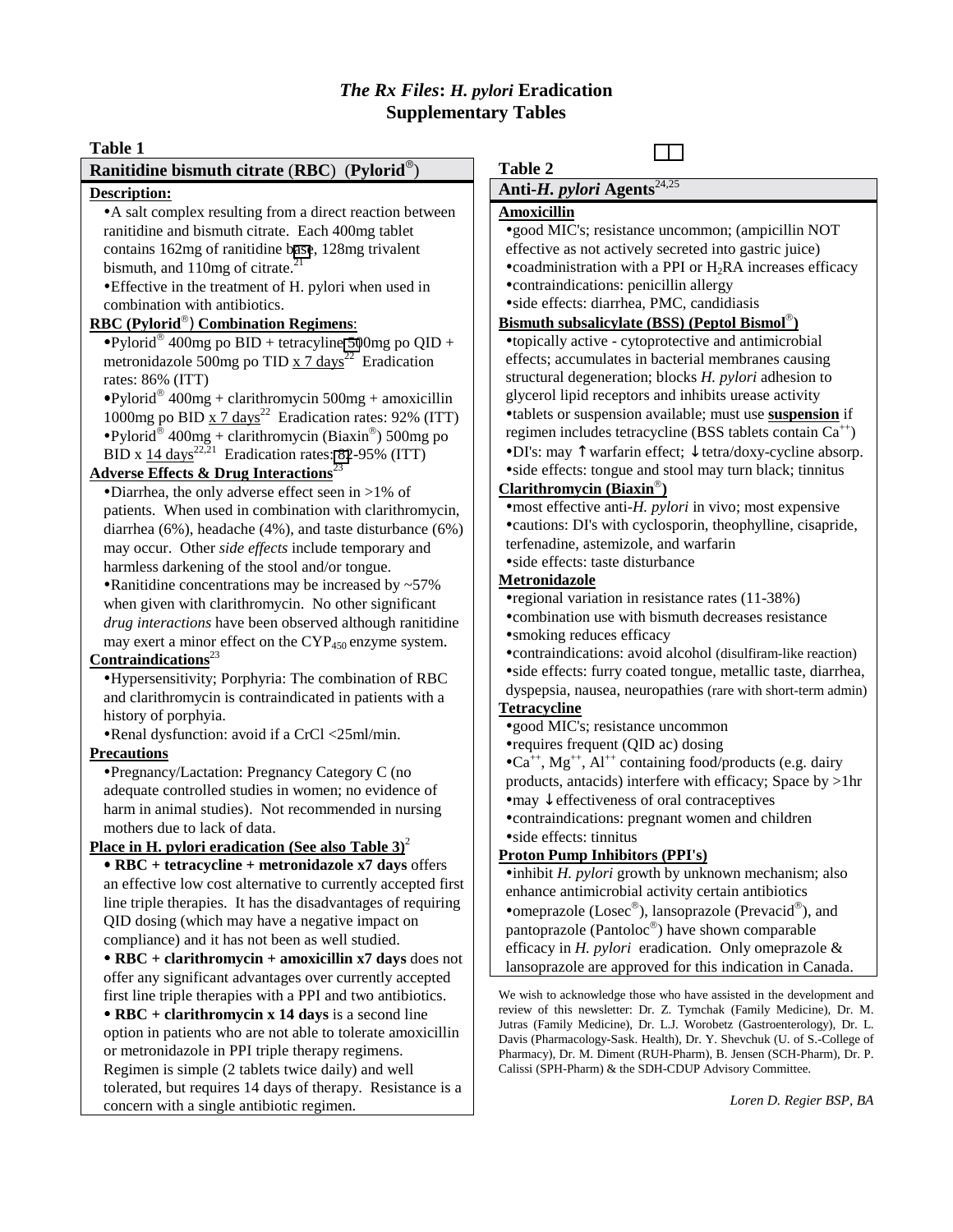## *The Rx Files***:** *H. pylori* **Eradication Supplementary Tables**

| Table 1                                                                                                                                                                                                                                                                                                                                                                                                                                                                                                                                                                                                                                                                                                                                                                                                                                                                                                                                                                   |                                                                                                                                                                                                                                                                                                                                                                                                                                                                                                                                                                                                                                                                                                                                                                                                                                                                                                                                                                                              |  |  |  |  |  |
|---------------------------------------------------------------------------------------------------------------------------------------------------------------------------------------------------------------------------------------------------------------------------------------------------------------------------------------------------------------------------------------------------------------------------------------------------------------------------------------------------------------------------------------------------------------------------------------------------------------------------------------------------------------------------------------------------------------------------------------------------------------------------------------------------------------------------------------------------------------------------------------------------------------------------------------------------------------------------|----------------------------------------------------------------------------------------------------------------------------------------------------------------------------------------------------------------------------------------------------------------------------------------------------------------------------------------------------------------------------------------------------------------------------------------------------------------------------------------------------------------------------------------------------------------------------------------------------------------------------------------------------------------------------------------------------------------------------------------------------------------------------------------------------------------------------------------------------------------------------------------------------------------------------------------------------------------------------------------------|--|--|--|--|--|
| Ranitidine bismuth citrate (RBC) (Pylorid $^{\circledR}$ )                                                                                                                                                                                                                                                                                                                                                                                                                                                                                                                                                                                                                                                                                                                                                                                                                                                                                                                | <b>Table 2</b>                                                                                                                                                                                                                                                                                                                                                                                                                                                                                                                                                                                                                                                                                                                                                                                                                                                                                                                                                                               |  |  |  |  |  |
| Description:                                                                                                                                                                                                                                                                                                                                                                                                                                                                                                                                                                                                                                                                                                                                                                                                                                                                                                                                                              | Anti-H. pylori Agents <sup>24,25</sup>                                                                                                                                                                                                                                                                                                                                                                                                                                                                                                                                                                                                                                                                                                                                                                                                                                                                                                                                                       |  |  |  |  |  |
| • A salt complex resulting from a direct reaction between<br>ranitidine and bismuth citrate. Each 400mg tablet<br>contains 162mg of ranitidine base, 128mg trivalent<br>bismuth, and 110mg of citrate. <sup>21</sup><br>• Effective in the treatment of H. pylori when used in<br>combination with antibiotics.<br>RBC (Pylorid®) Combination Regimens:<br>• Pylorid <sup>®</sup> 400mg po BID + tetracyline 500mg po QID +<br>metronidazole 500mg po TID $\times$ 7 days <sup>22</sup> Eradication                                                                                                                                                                                                                                                                                                                                                                                                                                                                       | Amoxicillin<br>*good MIC's; resistance uncommon; (ampicillin NOT<br>effective as not actively secreted into gastric juice)<br>•coadministration with a PPI or $H_2RA$ increases efficacy<br>•contraindications: penicillin allergy<br>·side effects: diarrhea, PMC, candidiasis<br>Bismuth subsalicylate (BSS) (Peptol Bismol <sup>®</sup> )<br>•topically active - cytoprotective and antimicrobial<br>effects; accumulates in bacterial membranes causing                                                                                                                                                                                                                                                                                                                                                                                                                                                                                                                                  |  |  |  |  |  |
| rates: 86% (ITT)<br>$\bullet$ Pylorid® 400mg + clarithromycin 500mg + amoxicillin<br>1000mg po BID $\rm x$ 7 days <sup>22</sup> Eradication rates: 92% (ITT)<br>• Pylorid <sup>®</sup> 400mg + clarithromycin (Biaxin <sup>®</sup> ) 500mg po<br>BID x $14 \text{ days}^{22,21}$ Eradication rates: 82-95% (ITT)<br><b>Adverse Effects &amp; Drug Interactions</b> <sup>23</sup>                                                                                                                                                                                                                                                                                                                                                                                                                                                                                                                                                                                          | structural degeneration; blocks H. pylori adhesion to<br>glycerol lipid receptors and inhibits urease activity<br>•tablets or suspension available; must use suspension if<br>regimen includes tetracycline (BSS tablets contain Ca <sup>++</sup> )<br>•DI's: may $\uparrow$ warfarin effect; $\downarrow$ tetra/doxy-cycline absorp.<br>·side effects: tongue and stool may turn black; tinnitus                                                                                                                                                                                                                                                                                                                                                                                                                                                                                                                                                                                            |  |  |  |  |  |
| •Diarrhea, the only adverse effect seen in >1% of<br>patients. When used in combination with clarithromycin,<br>diarrhea $(6\%)$ , headache $(4\%)$ , and taste disturbance $(6\%)$<br>may occur. Other side effects include temporary and<br>harmless darkening of the stool and/or tongue.<br>• Ranitidine concentrations may be increased by $~57\%$<br>when given with clarithromycin. No other significant<br>drug interactions have been observed although ranitidine<br>may exert a minor effect on the CYP <sub>450</sub> enzyme system.<br>Contraindications <sup>23</sup><br>•Hypersensitivity; Porphyria: The combination of RBC<br>and clarithromycin is contraindicated in patients with a<br>history of porphyia.<br>•Renal dysfunction: avoid if a CrCl <25ml/min.<br><b>Precautions</b><br>• Pregnancy/Lactation: Pregnancy Category C (no<br>adequate controlled studies in women; no evidence of<br>harm in animal studies). Not recommended in nursing | Clarithromycin (Biaxin $^{\circledR}$ )<br>• most effective anti-H. pylori in vivo; most expensive<br>•cautions: DI's with cyclosporin, theophylline, cisapride,<br>terfenadine, astemizole, and warfarin<br>·side effects: taste disturbance<br>Metronidazole<br>•regional variation in resistance rates (11-38%)<br>•combination use with bismuth decreases resistance<br>·smoking reduces efficacy<br>•contraindications: avoid alcohol (disulfiram-like reaction)<br>·side effects: furry coated tongue, metallic taste, diarrhea,<br>dyspepsia, nausea, neuropathies (rare with short-term admin)<br><b>Tetracycline</b><br>*good MIC's; resistance uncommon<br>•requires frequent (QID ac) dosing<br>$\bullet$ Ca <sup>++</sup> , Mg <sup>++</sup> , Al <sup>++</sup> containing food/products (e.g. dairy<br>products, antacids) interfere with efficacy; Space by >1hr<br>• may $\downarrow$ effectiveness of oral contraceptives<br>•contraindications: pregnant women and children |  |  |  |  |  |
| mothers due to lack of data.<br><u>Place in H. pylori eradication (See also Table 3)<sup>2</sup></u><br>• RBC + tetracycline + metronidazole x7 days offers<br>an effective low cost alternative to currently accepted first<br>line triple therapies. It has the disadvantages of requiring<br>QID dosing (which may have a negative impact on<br>compliance) and it has not been as well studied.<br>$\bullet$ RBC + clarithromycin + amoxicillin x7 days does not<br>offer any significant advantages over currently accepted<br>first line triple therapies with a PPI and two antibiotics.<br>$\bullet$ RBC + clarithromycin x 14 days is a second line<br>option in patients who are not able to tolerate amoxicillin<br>or metronidazole in PPI triple therapy regimens.<br>Regimen is simple (2 tablets twice daily) and well<br>tolerated, but requires 14 days of therapy. Resistance is a<br>concern with a single antibiotic regimen.                         | side effects: tinnitus<br><b>Proton Pump Inhibitors (PPI's)</b><br>$\bullet$ inhibit H. <i>pylori</i> growth by unknown mechanism; also<br>enhance antimicrobial activity certain antibiotics<br>• omeprazole (Losec <sup>®</sup> ), lansoprazole (Prevacid <sup>®</sup> ), and<br>pantoprazole (Pantoloc®) have shown comparable<br>efficacy in $H$ . pylori eradication. Only omeprazole &<br>lansoprazole are approved for this indication in Canada.<br>We wish to acknowledge those who have assisted in the development and<br>review of this newsletter: Dr. Z. Tymchak (Family Medicine), Dr. M.<br>Jutras (Family Medicine), Dr. L.J. Worobetz (Gastroenterology), Dr. L.<br>Davis (Pharmacology-Sask. Health), Dr. Y. Shevchuk (U. of S.-College of<br>Pharmacy), Dr. M. Diment (RUH-Pharm), B. Jensen (SCH-Pharm), Dr. P.<br>Calissi (SPH-Pharm) & the SDH-CDUP Advisory Committee.<br>Loren D. Regier BSP, BA                                                                    |  |  |  |  |  |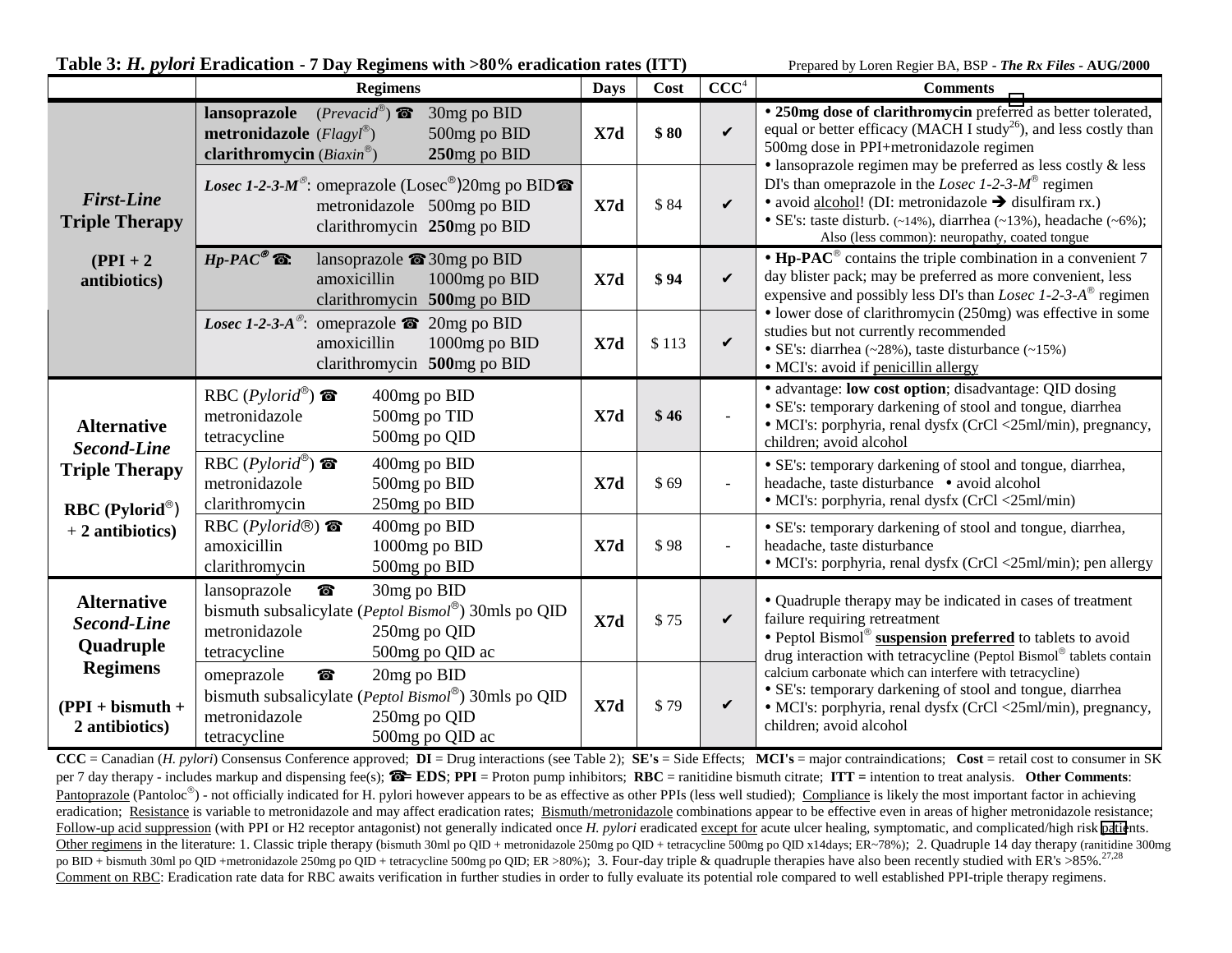| Table 3: H. pylori Eradication - 7 Day Regimens with >80% eradication rates (ITT)                        |                                                                                                                                                                     |                |       |                          | Prepared by Loren Regier BA, BSP - The Rx Files - AUG/2000                                                                                                                                                                                                              |  |
|----------------------------------------------------------------------------------------------------------|---------------------------------------------------------------------------------------------------------------------------------------------------------------------|----------------|-------|--------------------------|-------------------------------------------------------------------------------------------------------------------------------------------------------------------------------------------------------------------------------------------------------------------------|--|
|                                                                                                          | <b>Regimens</b>                                                                                                                                                     | <b>Days</b>    | Cost  | CCC <sup>4</sup>         | <b>Comments</b>                                                                                                                                                                                                                                                         |  |
| <b>First-Line</b><br><b>Triple Therapy</b><br>$(PPI + 2)$<br>antibiotics)                                | <b>lansoprazole</b> $(Prevacid^{\circledast})$<br>30mg po BID<br><b>metronidazole</b> ( $Flagyl^@$ )<br>500mg po BID<br>clarithromycin $(Biaxin^@)$<br>250mg po BID | X7d            | \$80  | $\checkmark$             | • 250mg dose of clarithromycin preferred as better tolerated,<br>equal or better efficacy (MACH I study <sup>26</sup> ), and less costly than<br>500mg dose in PPI+metronidazole regimen<br>· lansoprazole regimen may be preferred as less costly & less               |  |
|                                                                                                          | <i>Losec 1-2-3-M<sup>®</sup>:</i> omeprazole (Losec <sup>®</sup> )20mg po BID<br>metronidazole 500mg po BID<br>clarithromycin 250mg po BID                          | X7d            | \$84  | $\checkmark$             | DI's than omeprazole in the <i>Losec 1-2-3-M</i> <sup>®</sup> regimen<br>• avoid alcohol! (DI: metronidazole $\rightarrow$ disulfiram rx.)<br>• SE's: taste disturb. $(-14%)$ , diarrhea $(-13%)$ , headache $(-6%)$ ;<br>Also (less common): neuropathy, coated tongue |  |
|                                                                                                          | $Hp\text{-}PAC^{\circledast}$ $\bullet$ :<br>lansoprazole $\bullet$ 30mg po BID<br>amoxicillin<br>1000mg po BID<br>clarithromycin 500mg po BID                      | $\mathbf{X7d}$ | \$94  | V                        | • $\text{Hp-}PAC^{\circledast}$ contains the triple combination in a convenient 7<br>day blister pack; may be preferred as more convenient, less<br>expensive and possibly less DI's than <i>Losec 1-2-3-A</i> <sup>®</sup> regimen                                     |  |
|                                                                                                          | <i>Losec 1-2-3-A</i> <sup>®</sup> : omeprazole $\bullet$<br>20mg po BID<br>amoxicillin<br>1000mg po BID<br>clarithromycin 500mg po BID                              | X7d            | \$113 | $\checkmark$             | • lower dose of clarithromycin (250mg) was effective in some<br>studies but not currently recommended<br>• SE's: diarrhea (~28%), taste disturbance (~15%)<br>• MCI's: avoid if penicillin allergy                                                                      |  |
| <b>Alternative</b><br><b>Second-Line</b><br><b>Triple Therapy</b><br>RBC (Pylorid®)<br>$+2$ antibiotics) | RBC ( $Pylorid^{\circledR})$<br>400mg po BID<br>metronidazole<br>500mg po TID<br>tetracycline<br>500mg po QID                                                       | X7d            | \$46  |                          | · advantage: low cost option; disadvantage: QID dosing<br>• SE's: temporary darkening of stool and tongue, diarrhea<br>• MCI's: porphyria, renal dysfx (CrCl <25ml/min), pregnancy,<br>children; avoid alcohol                                                          |  |
|                                                                                                          | RBC $(Pylorid^{\circledast})$<br>$\bullet$<br>400mg po BID<br>metronidazole<br>                                                                                     | X7d            | \$69  | $\overline{\phantom{a}}$ | • SE's: temporary darkening of stool and tongue, diarrhea,<br>headache, taste disturbance · avoid alcohol<br>• MCI's: porphyria, renal dysfx (CrCl <25ml/min)                                                                                                           |  |
|                                                                                                          | 400mg po BID<br>RBC ( $Pylorid@$ )<br>1000mg po BID<br>amoxicillin<br>clarithromycin<br>500mg po BID                                                                | X7d            | \$98  |                          | • SE's: temporary darkening of stool and tongue, diarrhea,<br>headache, taste disturbance<br>• MCI's: porphyria, renal dysfx (CrCl <25ml/min); pen allergy                                                                                                              |  |
| <b>Alternative</b><br><b>Second-Line</b><br>Quadruple                                                    | 30mg po BID<br>lansoprazole<br>◈<br>bismuth subsalicylate (Peptol Bismol®) 30mls po QID<br>metronidazole<br>250mg po QID<br>tetracycline<br>500mg po QID ac         | X7d            | \$75  | $\checkmark$             | • Quadruple therapy may be indicated in cases of treatment<br>failure requiring retreatment<br>• Peptol Bismol® suspension preferred to tablets to avoid<br>drug interaction with tetracycline (Peptol Bismol® tablets contain                                          |  |
| <b>Regimens</b><br>$(PPI + bismuth +$<br>2 antibiotics)                                                  | ◈<br>20mg po BID<br>omeprazole<br>bismuth subsalicylate (Peptol Bismol®) 30mls po QID<br>metronidazole<br>250mg po QID<br>500mg po QID ac<br>tetracycline           | X7d            | \$79  | V                        | calcium carbonate which can interfere with tetracycline)<br>• SE's: temporary darkening of stool and tongue, diarrhea<br>• MCI's: porphyria, renal dysfx (CrCl <25ml/min), pregnancy,<br>children; avoid alcohol                                                        |  |

 $CCC = Canadian (H. pylori) Consensus Conference approved; **DI** = Drug interactions (see Table 2); **SE's** = Side Effects; **MCI's** = major contraindications; **Cost** = retail cost to consumer in SK$ per 7 day therapy - includes markup and dispensing fee(s); ☎ **= EDS**; **PPI** = Proton pump inhibitors; **RBC** = ranitidine bismuth citrate; **ITT =** intention to treat analysis. **Other Comments**: Pantoprazole (Pantoloc<sup>®</sup>) - not officially indicated for H. pylori however appears to be as effective as other PPIs (less well studied); Compliance is likely the most important factor in achieving eradication; Resistance is variable to metronidazole and may affect eradication rates; Bismuth/metronidazole combinations appear to be effective even in areas of higher metronidazole resistance; Follow-up acid suppression (with PPI or H2 receptor antagonist) not generally indicated once *H. pylori* eradicated except for acute ulcer healing, symptomatic, and complicated/high risk [patie](#page-4-0)nts. Other regimens in the literature: 1. Classic triple therapy (bismuth 30ml po OID + metronidazole 250mg po OID + tetracycline 500mg po OID x14days; ER~78%); 2. Quadruple 14 day therapy (ranitidine 300mg) po BID + bismuth 30ml po QID +metronidazole 250mg po QID + tetracycline 500mg po QID; ER >80%); 3. Four-day triple & quadruple therapies have also been recently studied with ER's >85%.<sup>27,28</sup> Comment on RBC: Eradication rate data for RBC awaits verification in further studies in order to fully evaluate its potential role compared to well established PPI-triple therapy regimens.